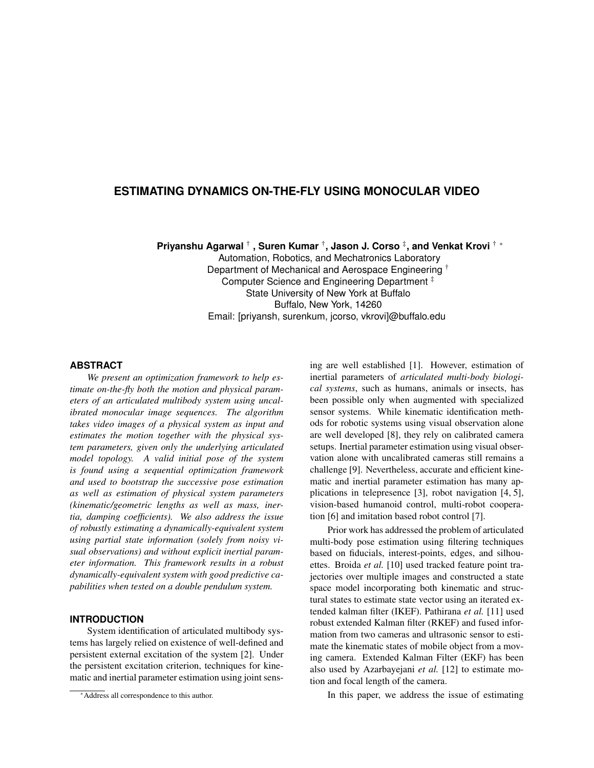# **ESTIMATING DYNAMICS ON-THE-FLY USING MONOCULAR VIDEO**

**Priyanshu Agarwal**  $\dagger$  **, Suren Kumar**  $\dagger$ **, Jason J. Corso**  $\ddagger$ **, and Venkat Krovi**  $\dagger$  **∗** 

Automation, Robotics, and Mechatronics Laboratory Department of Mechanical and Aerospace Engineering † Computer Science and Engineering Department ‡ State University of New York at Buffalo Buffalo, New York, 14260 Email: [priyansh, surenkum, jcorso, vkrovi]@buffalo.edu

### **ABSTRACT**

*We present an optimization framework to help estimate on-the-fly both the motion and physical parameters of an articulated multibody system using uncalibrated monocular image sequences. The algorithm takes video images of a physical system as input and estimates the motion together with the physical system parameters, given only the underlying articulated model topology. A valid initial pose of the system is found using a sequential optimization framework and used to bootstrap the successive pose estimation as well as estimation of physical system parameters (kinematic/geometric lengths as well as mass, inertia, damping coefficients). We also address the issue of robustly estimating a dynamically-equivalent system using partial state information (solely from noisy visual observations) and without explicit inertial parameter information. This framework results in a robust dynamically-equivalent system with good predictive capabilities when tested on a double pendulum system.*

## **INTRODUCTION**

System identification of articulated multibody systems has largely relied on existence of well-defined and persistent external excitation of the system [2]. Under the persistent excitation criterion, techniques for kinematic and inertial parameter estimation using joint sens-

<sup>∗</sup>Address all correspondence to this author.

ing are well established [1]. However, estimation of inertial parameters of *articulated multi-body biological systems*, such as humans, animals or insects, has been possible only when augmented with specialized sensor systems. While kinematic identification methods for robotic systems using visual observation alone are well developed [8], they rely on calibrated camera setups. Inertial parameter estimation using visual observation alone with uncalibrated cameras still remains a challenge [9]. Nevertheless, accurate and efficient kinematic and inertial parameter estimation has many applications in telepresence [3], robot navigation [4, 5], vision-based humanoid control, multi-robot cooperation [6] and imitation based robot control [7].

Prior work has addressed the problem of articulated multi-body pose estimation using filtering techniques based on fiducials, interest-points, edges, and silhouettes. Broida *et al.* [10] used tracked feature point trajectories over multiple images and constructed a state space model incorporating both kinematic and structural states to estimate state vector using an iterated extended kalman filter (IKEF). Pathirana *et al.* [11] used robust extended Kalman filter (RKEF) and fused information from two cameras and ultrasonic sensor to estimate the kinematic states of mobile object from a moving camera. Extended Kalman Filter (EKF) has been also used by Azarbayejani *et al.* [12] to estimate motion and focal length of the camera.

In this paper, we address the issue of estimating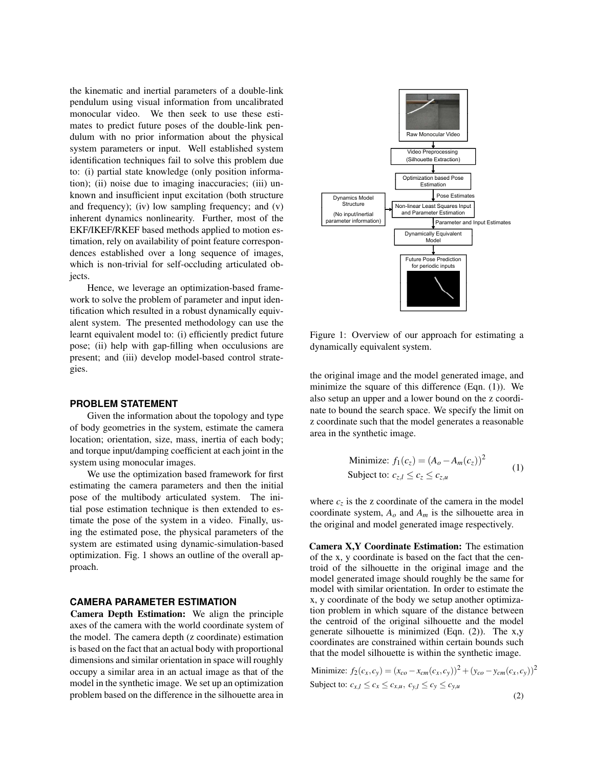the kinematic and inertial parameters of a double-link pendulum using visual information from uncalibrated monocular video. We then seek to use these estimates to predict future poses of the double-link pendulum with no prior information about the physical system parameters or input. Well established system identification techniques fail to solve this problem due to: (i) partial state knowledge (only position information); (ii) noise due to imaging inaccuracies; (iii) unknown and insufficient input excitation (both structure and frequency); (iv) low sampling frequency; and (v) inherent dynamics nonlinearity. Further, most of the EKF/IKEF/RKEF based methods applied to motion estimation, rely on availability of point feature correspondences established over a long sequence of images, which is non-trivial for self-occluding articulated objects.

Hence, we leverage an optimization-based framework to solve the problem of parameter and input identification which resulted in a robust dynamically equivalent system. The presented methodology can use the learnt equivalent model to: (i) efficiently predict future pose; (ii) help with gap-filling when occulusions are present; and (iii) develop model-based control strategies.

#### **PROBLEM STATEMENT**

Given the information about the topology and type of body geometries in the system, estimate the camera location; orientation, size, mass, inertia of each body; and torque input/damping coefficient at each joint in the system using monocular images.

We use the optimization based framework for first estimating the camera parameters and then the initial pose of the multibody articulated system. The initial pose estimation technique is then extended to estimate the pose of the system in a video. Finally, using the estimated pose, the physical parameters of the system are estimated using dynamic-simulation-based optimization. Fig. 1 shows an outline of the overall approach.

### **CAMERA PARAMETER ESTIMATION**

Camera Depth Estimation: We align the principle axes of the camera with the world coordinate system of the model. The camera depth (z coordinate) estimation is based on the fact that an actual body with proportional dimensions and similar orientation in space will roughly occupy a similar area in an actual image as that of the model in the synthetic image. We set up an optimization problem based on the difference in the silhouette area in



Figure 1: Overview of our approach for estimating a dynamically equivalent system.

the original image and the model generated image, and minimize the square of this difference (Eqn. (1)). We also setup an upper and a lower bound on the z coordinate to bound the search space. We specify the limit on z coordinate such that the model generates a reasonable area in the synthetic image.

Minimize: 
$$
f_1(c_z) = (A_o - A_m(c_z))^2
$$
  
Subject to:  $c_{z,l} \le c_z \le c_{z,u}$  (1)

where  $c_z$  is the z coordinate of the camera in the model coordinate system,  $A_o$  and  $A_m$  is the silhouette area in the original and model generated image respectively.

Camera X,Y Coordinate Estimation: The estimation of the x, y coordinate is based on the fact that the centroid of the silhouette in the original image and the model generated image should roughly be the same for model with similar orientation. In order to estimate the x, y coordinate of the body we setup another optimization problem in which square of the distance between the centroid of the original silhouette and the model generate silhouette is minimized (Eqn. (2)). The x,y coordinates are constrained within certain bounds such that the model silhouette is within the synthetic image.

Minimize: 
$$
f_2(c_x, c_y) = (x_{co} - x_{cm}(c_x, c_y))^2 + (y_{co} - y_{cm}(c_x, c_y))^2
$$
  
Subject to:  $c_{x,l} \le c_x \le c_{x,u}, c_{y,l} \le c_y \le c_{y,u}$  (2)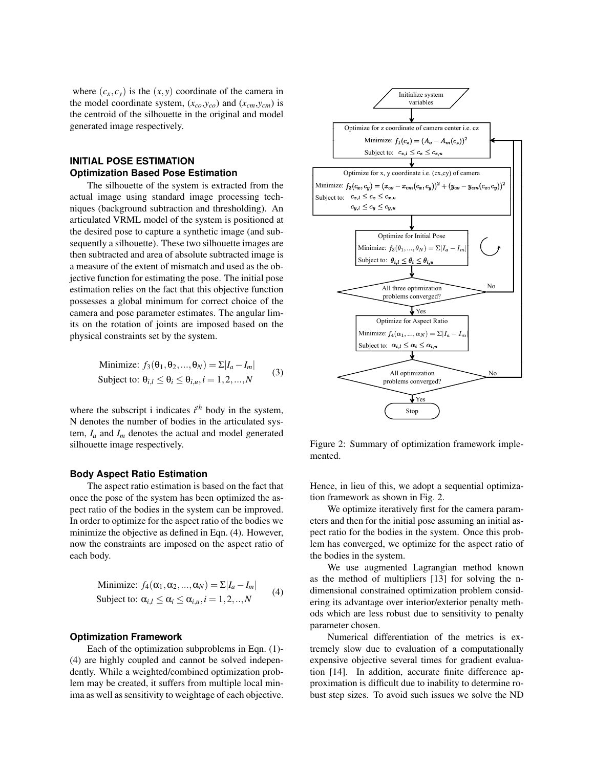where  $(c_x, c_y)$  is the  $(x, y)$  coordinate of the camera in the model coordinate system,  $(x_{co}, y_{co})$  and  $(x_{cm}, y_{cm})$  is the centroid of the silhouette in the original and model generated image respectively.

# **INITIAL POSE ESTIMATION Optimization Based Pose Estimation**

The silhouette of the system is extracted from the actual image using standard image processing techniques (background subtraction and thresholding). An articulated VRML model of the system is positioned at the desired pose to capture a synthetic image (and subsequently a silhouette). These two silhouette images are then subtracted and area of absolute subtracted image is a measure of the extent of mismatch and used as the objective function for estimating the pose. The initial pose estimation relies on the fact that this objective function possesses a global minimum for correct choice of the camera and pose parameter estimates. The angular limits on the rotation of joints are imposed based on the physical constraints set by the system.

Minimize: 
$$
f_3(\theta_1, \theta_2, ..., \theta_N) = \sum |I_a - I_m|
$$
  
Subject to:  $\theta_{i,l} \le \theta_i \le \theta_{i,u}, i = 1, 2, ..., N$  (3)

where the subscript i indicates *i th* body in the system, N denotes the number of bodies in the articulated system,  $I_a$  and  $I_m$  denotes the actual and model generated silhouette image respectively.

#### **Body Aspect Ratio Estimation**

The aspect ratio estimation is based on the fact that once the pose of the system has been optimized the aspect ratio of the bodies in the system can be improved. In order to optimize for the aspect ratio of the bodies we minimize the objective as defined in Eqn. (4). However, now the constraints are imposed on the aspect ratio of each body.

Minimize: 
$$
f_4(\alpha_1, \alpha_2, ..., \alpha_N) = \sum |I_a - I_m|
$$
  
Subject to:  $\alpha_{i,l} \leq \alpha_i \leq \alpha_{i,u}, i = 1, 2, ..., N$  (4)

#### **Optimization Framework**

Each of the optimization subproblems in Eqn. (1)- (4) are highly coupled and cannot be solved independently. While a weighted/combined optimization problem may be created, it suffers from multiple local minima as well as sensitivity to weightage of each objective.



Figure 2: Summary of optimization framework implemented.

Hence, in lieu of this, we adopt a sequential optimization framework as shown in Fig. 2.

We optimize iteratively first for the camera parameters and then for the initial pose assuming an initial aspect ratio for the bodies in the system. Once this problem has converged, we optimize for the aspect ratio of the bodies in the system.

We use augmented Lagrangian method known as the method of multipliers [13] for solving the ndimensional constrained optimization problem considering its advantage over interior/exterior penalty methods which are less robust due to sensitivity to penalty parameter chosen.

Numerical differentiation of the metrics is extremely slow due to evaluation of a computationally expensive objective several times for gradient evaluation [14]. In addition, accurate finite difference approximation is difficult due to inability to determine robust step sizes. To avoid such issues we solve the ND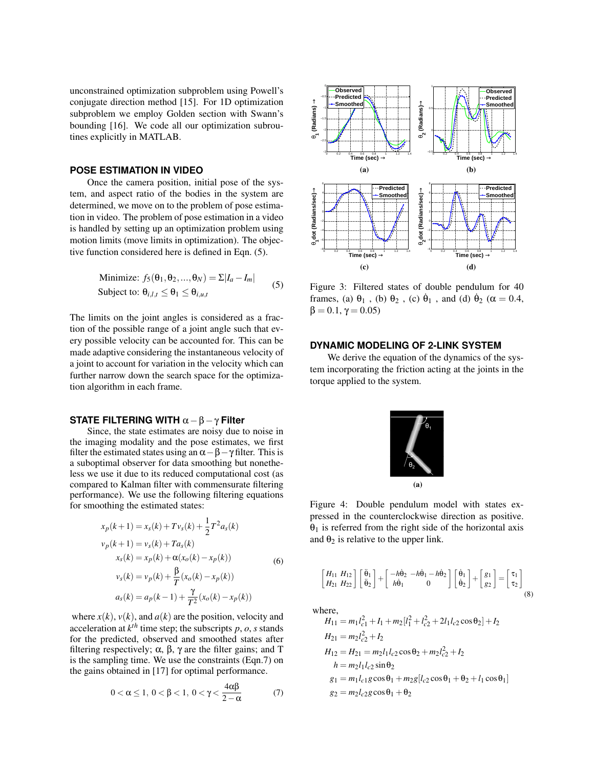unconstrained optimization subproblem using Powell's conjugate direction method [15]. For 1D optimization subproblem we employ Golden section with Swann's bounding [16]. We code all our optimization subroutines explicitly in MATLAB.

# **POSE ESTIMATION IN VIDEO**

Once the camera position, initial pose of the system, and aspect ratio of the bodies in the system are determined, we move on to the problem of pose estimation in video. The problem of pose estimation in a video is handled by setting up an optimization problem using motion limits (move limits in optimization). The objective function considered here is defined in Eqn. (5).

Minimize: 
$$
f_5(\theta_1, \theta_2, ..., \theta_N) = \Sigma |I_a - I_m|
$$
  
Subject to:  $\theta_{i,l,t} \leq \theta_1 \leq \theta_{i,u,t}$  (5)

The limits on the joint angles is considered as a fraction of the possible range of a joint angle such that every possible velocity can be accounted for. This can be made adaptive considering the instantaneous velocity of a joint to account for variation in the velocity which can further narrow down the search space for the optimization algorithm in each frame.

### **STATE FILTERING WITH** α−β−γ **Filter**

Since, the state estimates are noisy due to noise in the imaging modality and the pose estimates, we first filter the estimated states using an  $\alpha - \beta - \gamma$  filter. This is a suboptimal observer for data smoothing but nonetheless we use it due to its reduced computational cost (as compared to Kalman filter with commensurate filtering performance). We use the following filtering equations for smoothing the estimated states:

$$
x_p(k+1) = x_s(k) + Tv_s(k) + \frac{1}{2}T^2a_s(k)
$$
  
\n
$$
v_p(k+1) = v_s(k) + Ta_s(k)
$$
  
\n
$$
x_s(k) = x_p(k) + \alpha(x_o(k) - x_p(k))
$$
  
\n
$$
v_s(k) = v_p(k) + \frac{\beta}{T}(x_o(k) - x_p(k))
$$
  
\n
$$
a_s(k) = a_p(k-1) + \frac{\gamma}{T^2}(x_o(k) - x_p(k))
$$
\n(6)

where  $x(k)$ ,  $v(k)$ , and  $a(k)$  are the position, velocity and acceleration at  $k^{th}$  time step; the subscripts  $p$ ,  $o$ ,  $s$  stands for the predicted, observed and smoothed states after filtering respectively;  $\alpha$ ,  $\beta$ ,  $\gamma$  are the filter gains; and T is the sampling time. We use the constraints (Eqn.7) on the gains obtained in [17] for optimal performance.

$$
0<\alpha\leq 1,\ 0<\beta<1,\ 0<\gamma<\frac{4\alpha\beta}{2-\alpha}\qquad \qquad (7)
$$



Figure 3: Filtered states of double pendulum for 40 frames, (a)  $\theta_1$ , (b)  $\theta_2$ , (c)  $\dot{\theta}_1$ , and (d)  $\dot{\theta}_2$  ( $\alpha = 0.4$ ,  $β = 0.1, γ = 0.05$ 

### **DYNAMIC MODELING OF 2-LINK SYSTEM**

We derive the equation of the dynamics of the system incorporating the friction acting at the joints in the torque applied to the system.



Figure 4: Double pendulum model with states expressed in the counterclockwise direction as positive.  $\theta_1$  is referred from the right side of the horizontal axis and  $\theta_2$  is relative to the upper link.

$$
\begin{bmatrix} H_{11} & H_{12} \\ H_{21} & H_{22} \end{bmatrix} \begin{bmatrix} \ddot{\theta}_1 \\ \ddot{\theta}_2 \end{bmatrix} + \begin{bmatrix} -h\dot{\theta}_2 & -h\dot{\theta}_1 - h\dot{\theta}_2 \\ h\dot{\theta}_1 & 0 \end{bmatrix} \begin{bmatrix} \dot{\theta}_1 \\ \dot{\theta}_2 \end{bmatrix} + \begin{bmatrix} g_1 \\ g_2 \end{bmatrix} = \begin{bmatrix} \tau_1 \\ \tau_2 \end{bmatrix}
$$
(8)

where,

$$
H_{11} = m_1 l_{c1}^2 + I_1 + m_2 [l_1^2 + l_{c2}^2 + 2l_1 l_{c2} \cos \theta_2] + I_2
$$
  
\n
$$
H_{21} = m_2 l_{c2}^2 + I_2
$$
  
\n
$$
H_{12} = H_{21} = m_2 l_1 l_{c2} \cos \theta_2 + m_2 l_{c2}^2 + I_2
$$
  
\n
$$
h = m_2 l_1 l_{c2} \sin \theta_2
$$
  
\n
$$
g_1 = m_1 l_{c1} g \cos \theta_1 + m_2 g [l_{c2} \cos \theta_1 + \theta_2 + l_1 \cos \theta_1]
$$
  
\n
$$
g_2 = m_2 l_{c2} g \cos \theta_1 + \theta_2
$$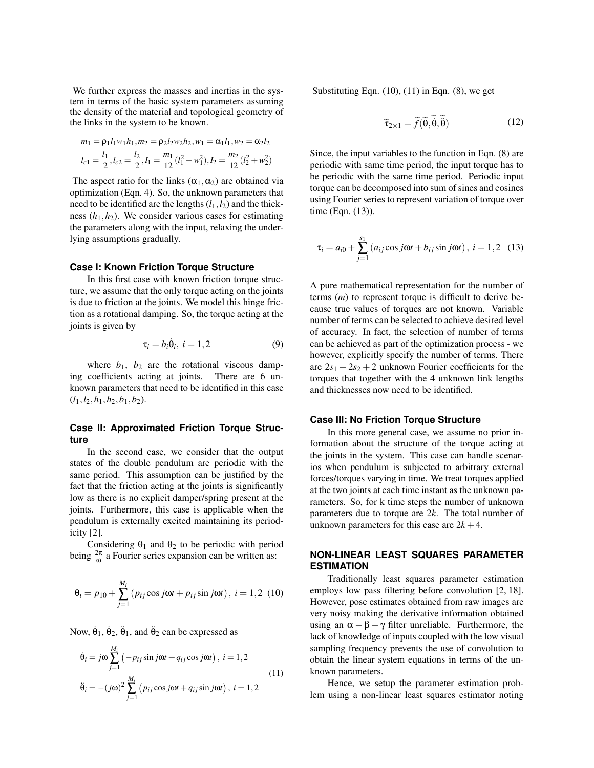We further express the masses and inertias in the system in terms of the basic system parameters assuming the density of the material and topological geometry of the links in the system to be known.

$$
m_1 = \rho_1 l_1 w_1 h_1, m_2 = \rho_2 l_2 w_2 h_2, w_1 = \alpha_1 l_1, w_2 = \alpha_2 l_2
$$
  

$$
l_{c1} = \frac{l_1}{2}, l_{c2} = \frac{l_2}{2}, I_1 = \frac{m_1}{12} (l_1^2 + w_1^2), I_2 = \frac{m_2}{12} (l_2^2 + w_2^2)
$$

The aspect ratio for the links  $(\alpha_1, \alpha_2)$  are obtained via optimization (Eqn. 4). So, the unknown parameters that need to be identified are the lengths  $(l_1, l_2)$  and the thickness  $(h_1, h_2)$ . We consider various cases for estimating the parameters along with the input, relaxing the underlying assumptions gradually.

### **Case I: Known Friction Torque Structure**

In this first case with known friction torque structure, we assume that the only torque acting on the joints is due to friction at the joints. We model this hinge friction as a rotational damping. So, the torque acting at the joints is given by

$$
\tau_i = b_i \dot{\theta}_i, \ i = 1, 2 \tag{9}
$$

where  $b_1$ ,  $b_2$  are the rotational viscous damping coefficients acting at joints. There are 6 unknown parameters that need to be identified in this case (*l*1,*l*2,*h*1,*h*2,*b*1,*b*2).

# **Case II: Approximated Friction Torque Structure**

In the second case, we consider that the output states of the double pendulum are periodic with the same period. This assumption can be justified by the fact that the friction acting at the joints is significantly low as there is no explicit damper/spring present at the joints. Furthermore, this case is applicable when the pendulum is externally excited maintaining its periodicity [2].

Considering  $\theta_1$  and  $\theta_2$  to be periodic with period being  $\frac{2\pi}{\omega}$  a Fourier series expansion can be written as:

$$
\theta_i = p_{10} + \sum_{j=1}^{M_i} (p_{ij} \cos j\omega t + p_{ij} \sin j\omega t), i = 1,2 \ (10)
$$

Now,  $\dot{\theta}_1$ ,  $\dot{\theta}_2$ ,  $\ddot{\theta}_1$ , and  $\ddot{\theta}_2$  can be expressed as

$$
\dot{\Theta}_i = j\omega \sum_{j=1}^{M_i} \left( -p_{ij} \sin j\omega t + q_{ij} \cos j\omega t \right), i = 1, 2
$$
\n
$$
\ddot{\Theta}_i = -(j\omega)^2 \sum_{j=1}^{M_i} \left( p_{ij} \cos j\omega t + q_{ij} \sin j\omega t \right), i = 1, 2
$$
\n(11)

Substituting Eqn.  $(10)$ ,  $(11)$  in Eqn.  $(8)$ , we get

$$
\widetilde{\tau}_{2\times 1} = \widetilde{f}(\widetilde{\theta}, \widetilde{\dot{\theta}}, \widetilde{\ddot{\theta}})
$$
 (12)

Since, the input variables to the function in Eqn. (8) are periodic with same time period, the input torque has to be periodic with the same time period. Periodic input torque can be decomposed into sum of sines and cosines using Fourier series to represent variation of torque over time (Eqn. (13)).

$$
\tau_i = a_{i0} + \sum_{j=1}^{s_1} (a_{ij} \cos j\omega t + b_{ij} \sin j\omega t), i = 1,2 \quad (13)
$$

A pure mathematical representation for the number of terms (*m*) to represent torque is difficult to derive because true values of torques are not known. Variable number of terms can be selected to achieve desired level of accuracy. In fact, the selection of number of terms can be achieved as part of the optimization process - we however, explicitly specify the number of terms. There are  $2s_1 + 2s_2 + 2$  unknown Fourier coefficients for the torques that together with the 4 unknown link lengths and thicknesses now need to be identified.

#### **Case III: No Friction Torque Structure**

In this more general case, we assume no prior information about the structure of the torque acting at the joints in the system. This case can handle scenarios when pendulum is subjected to arbitrary external forces/torques varying in time. We treat torques applied at the two joints at each time instant as the unknown parameters. So, for k time steps the number of unknown parameters due to torque are 2*k*. The total number of unknown parameters for this case are  $2k + 4$ .

# **NON-LINEAR LEAST SQUARES PARAMETER ESTIMATION**

Traditionally least squares parameter estimation employs low pass filtering before convolution [2, 18]. However, pose estimates obtained from raw images are very noisy making the derivative information obtained using an  $\alpha - \beta - \gamma$  filter unreliable. Furthermore, the lack of knowledge of inputs coupled with the low visual sampling frequency prevents the use of convolution to obtain the linear system equations in terms of the unknown parameters.

Hence, we setup the parameter estimation problem using a non-linear least squares estimator noting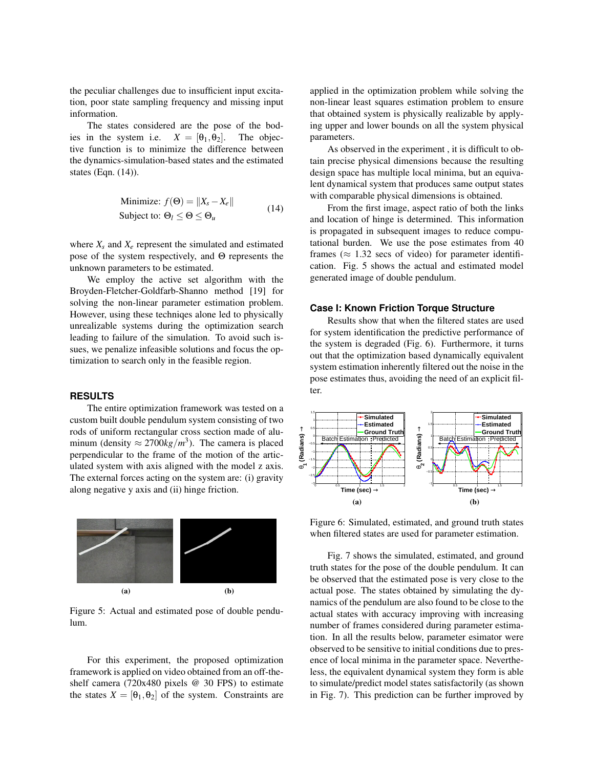the peculiar challenges due to insufficient input excitation, poor state sampling frequency and missing input information.

The states considered are the pose of the bodies in the system i.e.  $X = [\theta_1, \theta_2]$ . The objective function is to minimize the difference between the dynamics-simulation-based states and the estimated states (Eqn. (14)).

Minimize: 
$$
f(\Theta) = ||X_s - X_e||
$$
  
Subject to:  $\Theta_l \leq \Theta \leq \Theta_u$  (14)

where  $X_s$  and  $X_e$  represent the simulated and estimated pose of the system respectively, and Θ represents the unknown parameters to be estimated.

We employ the active set algorithm with the Broyden-Fletcher-Goldfarb-Shanno method [19] for solving the non-linear parameter estimation problem. However, using these techniqes alone led to physically unrealizable systems during the optimization search leading to failure of the simulation. To avoid such issues, we penalize infeasible solutions and focus the optimization to search only in the feasible region.

## **RESULTS**

The entire optimization framework was tested on a custom built double pendulum system consisting of two rods of uniform rectangular cross section made of aluminum (density  $\approx 2700 \frac{kg}{m^3}$ ). The camera is placed perpendicular to the frame of the motion of the articulated system with axis aligned with the model z axis. The external forces acting on the system are: (i) gravity along negative y axis and (ii) hinge friction.



Figure 5: Actual and estimated pose of double pendulum.

For this experiment, the proposed optimization framework is applied on video obtained from an off-theshelf camera (720x480 pixels @ 30 FPS) to estimate the states  $X = [\theta_1, \theta_2]$  of the system. Constraints are

applied in the optimization problem while solving the non-linear least squares estimation problem to ensure that obtained system is physically realizable by applying upper and lower bounds on all the system physical parameters.

As observed in the experiment , it is difficult to obtain precise physical dimensions because the resulting design space has multiple local minima, but an equivalent dynamical system that produces same output states with comparable physical dimensions is obtained.

From the first image, aspect ratio of both the links and location of hinge is determined. This information is propagated in subsequent images to reduce computational burden. We use the pose estimates from 40 frames ( $\approx$  1.32 secs of video) for parameter identification. Fig. 5 shows the actual and estimated model generated image of double pendulum.

### **Case I: Known Friction Torque Structure**

Results show that when the filtered states are used for system identification the predictive performance of the system is degraded (Fig. 6). Furthermore, it turns out that the optimization based dynamically equivalent system estimation inherently filtered out the noise in the pose estimates thus, avoiding the need of an explicit filter.



Figure 6: Simulated, estimated, and ground truth states when filtered states are used for parameter estimation.

Fig. 7 shows the simulated, estimated, and ground truth states for the pose of the double pendulum. It can be observed that the estimated pose is very close to the actual pose. The states obtained by simulating the dynamics of the pendulum are also found to be close to the actual states with accuracy improving with increasing number of frames considered during parameter estimation. In all the results below, parameter esimator were observed to be sensitive to initial conditions due to presence of local minima in the parameter space. Nevertheless, the equivalent dynamical system they form is able to simulate/predict model states satisfactorily (as shown in Fig. 7). This prediction can be further improved by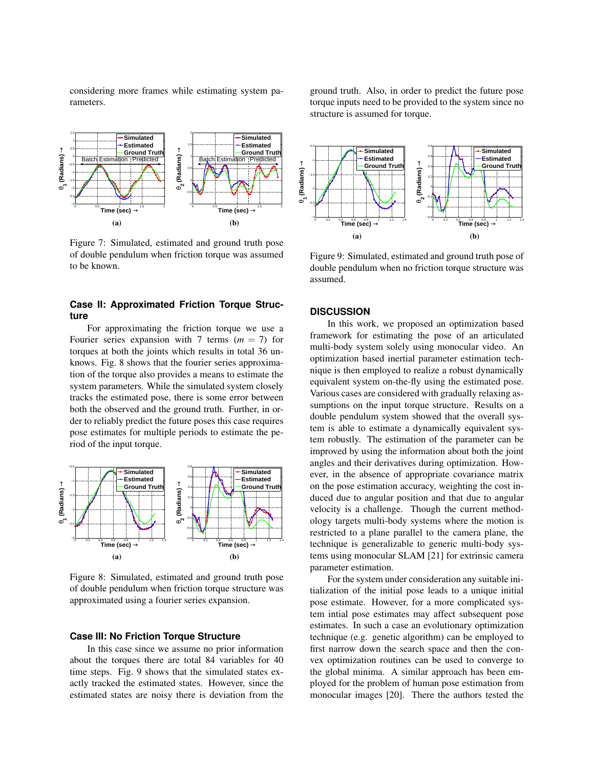considering more frames while estimating system parameters.



Figure 7: Simulated, estimated and ground truth pose of double pendulum when friction torque was assumed to be known.

## **Case II: Approximated Friction Torque Structure**

For approximating the friction torque we use a Fourier series expansion with 7 terms  $(m = 7)$  for torques at both the joints which results in total 36 unknows. Fig. 8 shows that the fourier series approximation of the torque also provides a means to estimate the system parameters. While the simulated system closely tracks the estimated pose, there is some error between both the observed and the ground truth. Further, in order to reliably predict the future poses this case requires pose estimates for multiple periods to estimate the period of the input torque.



Figure 8: Simulated, estimated and ground truth pose of double pendulum when friction torque structure was approximated using a fourier series expansion.

#### **Case III: No Friction Torque Structure**

In this case since we assume no prior information about the torques there are total 84 variables for 40 time steps. Fig. 9 shows that the simulated states exactly tracked the estimated states. However, since the estimated states are noisy there is deviation from the

ground truth. Also, in order to predict the future pose torque inputs need to be provided to the system since no structure is assumed for torque.



Figure 9: Simulated, estimated and ground truth pose of double pendulum when no friction torque structure was assumed.

### **DISCUSSION**

In this work, we proposed an optimization based framework for estimating the pose of an articulated multi-body system solely using monocular video. An optimization based inertial parameter estimation technique is then employed to realize a robust dynamically equivalent system on-the-fly using the estimated pose. Various cases are considered with gradually relaxing assumptions on the input torque structure. Results on a double pendulum system showed that the overall system is able to estimate a dynamically equivalent system robustly. The estimation of the parameter can be improved by using the information about both the joint angles and their derivatives during optimization. However, in the absence of appropriate covariance matrix on the pose estimation accuracy, weighting the cost induced due to angular position and that due to angular velocity is a challenge. Though the current methodology targets multi-body systems where the motion is restricted to a plane parallel to the camera plane, the technique is generalizable to generic multi-body systems using monocular SLAM [21] for extrinsic camera parameter estimation.

For the system under consideration any suitable initialization of the initial pose leads to a unique initial pose estimate. However, for a more complicated system intial pose estimates may affect subsequent pose estimates. In such a case an evolutionary optimization technique (e.g. genetic algorithm) can be employed to first narrow down the search space and then the convex optimization routines can be used to converge to the global minima. A similar approach has been employed for the problem of human pose estimation from monocular images [20]. There the authors tested the